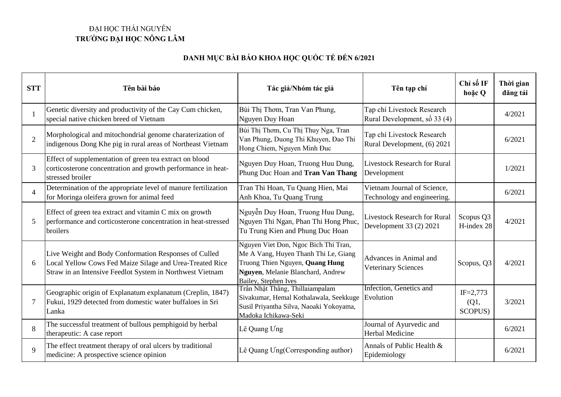## ĐẠI HỌC THÁI NGUYÊN **TRƯỜNG ĐẠI HỌC NÔNG LÂM**

## **DANH MỤC BÀI BÁO KHOA HỌC QUỐC TẾ ĐẾN 6/2021**

| <b>STT</b>     | Tên bài báo                                                                                                                                                                    | Tác giả/Nhóm tác giả                                                                                                                                                         | Tên tạp chí                                                    | Chỉ số IF<br>hoặc Q             | Thời gian<br>dăng tải |
|----------------|--------------------------------------------------------------------------------------------------------------------------------------------------------------------------------|------------------------------------------------------------------------------------------------------------------------------------------------------------------------------|----------------------------------------------------------------|---------------------------------|-----------------------|
|                | Genetic diversity and productivity of the Cay Cum chicken,<br>special native chicken breed of Vietnam                                                                          | Bùi Thị Thơm, Tran Van Phung,<br>Nguyen Duy Hoan                                                                                                                             | Tạp chí Livestock Research<br>Rural Development, số 33 (4)     |                                 | 4/2021                |
| $\overline{2}$ | Morphological and mitochondrial genome charaterization of<br>indigenous Dong Khe pig in rural areas of Northeast Vietnam                                                       | Bùi Thị Thơm, Cu Thị Thuy Nga, Tran<br>Van Phung, Duong Thi Khuyen, Đao Thi<br>Hong Chiem, Nguyen Minh Đuc                                                                   | Tạp chí Livestock Research<br>Rural Development, (6) 2021      |                                 | 6/2021                |
| 3              | Effect of supplementation of green tea extract on blood<br>corticosterone concentration and growth performance in heat-<br>stressed broiler                                    | Nguyen Duy Hoan, Truong Huu Dung,<br>Phung Duc Hoan and Tran Van Thang                                                                                                       | <b>Livestock Research for Rural</b><br>Development             |                                 | 1/2021                |
| $\overline{4}$ | Determination of the appropriate level of manure fertilization<br>for Moringa oleifera grown for animal feed                                                                   | Tran Thi Hoan, Tu Quang Hien, Mai<br>Anh Khoa, Tu Quang Trung                                                                                                                | Vietnam Journal of Science,<br>Technology and engineering.     |                                 | 6/2021                |
| 5              | Effect of green tea extract and vitamin C mix on growth<br>performance and corticosterone concentration in heat-stressed<br>broilers                                           | Nguyễn Duy Hoan, Truong Huu Dung,<br>Nguyen Thi Ngan, Phan Thi Hong Phuc,<br>Tu Trung Kien and Phung Duc Hoan                                                                | <b>Livestock Research for Rural</b><br>Development 33 (2) 2021 | Scopus Q3<br>H-index 28         | 4/2021                |
| 6              | Live Weight and Body Conformation Responses of Culled<br>Local Yellow Cows Fed Maize Silage and Urea-Treated Rice<br>Straw in an Intensive Feedlot System in Northwest Vietnam | Nguyen Viet Don, Ngoc Bich Thi Tran,<br>Me A Vang, Huyen Thanh Thi Le, Giang<br>Truong Thien Nguyen, Quang Hung<br>Nguyen, Melanie Blanchard, Andrew<br>Bailey, Stephen Ives | Advances in Animal and<br><b>Veterinary Sciences</b>           | Scopus, Q3                      | 4/2021                |
| $\overline{7}$ | Geographic origin of Explanatum explanatum (Creplin, 1847)<br>Fukui, 1929 detected from domestic water buffaloes in Sri<br>Lanka                                               | Trần Nhật Thắng, Thillaiampalam<br>Sivakumar, Hemal Kothalawala, Seekkuge<br>Susil Priyantha Silva, Naoaki Yokoyama,<br>Madoka Ichikawa-Seki                                 | Infection, Genetics and<br>Evolution                           | $IF = 2,773$<br>(Q1,<br>SCOPUS) | 3/2021                |
| 8              | The successful treatment of bullous pemphigoid by herbal<br>therapeutic: A case report                                                                                         | Lê Quang Ung                                                                                                                                                                 | Journal of Ayurvedic and<br>Herbal Medicine                    |                                 | 6/2021                |
| 9              | The effect treatment therapy of oral ulcers by traditional<br>medicine: A prospective science opinion                                                                          | Lê Quang Ung(Corresponding author)                                                                                                                                           | Annals of Public Health &<br>Epidemiology                      |                                 | 6/2021                |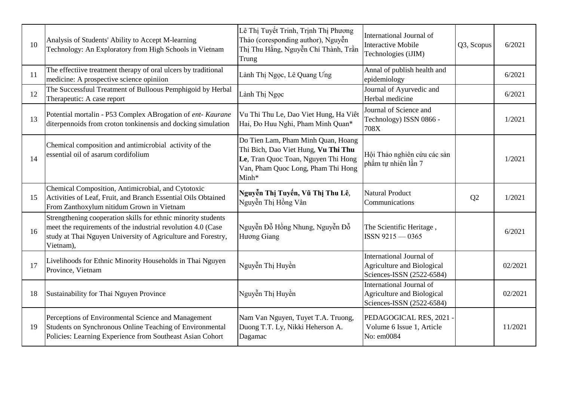| 10 | Analysis of Students' Ability to Accept M-learning<br>Technology: An Exploratory from High Schools in Vietnam                                                                                              | Lê Thị Tuyết Trinh, Trịnh Thị Phương<br>Thảo (coresponding author), Nguyễn<br>Thị Thu Hằng, Nguyễn Chí Thành, Trần<br>Trung                                     | International Journal of<br><b>Interactive Mobile</b><br>Technologies (iJIM)               | Q3, Scopus     | 6/2021  |
|----|------------------------------------------------------------------------------------------------------------------------------------------------------------------------------------------------------------|-----------------------------------------------------------------------------------------------------------------------------------------------------------------|--------------------------------------------------------------------------------------------|----------------|---------|
| 11 | The effectiive treatment therapy of oral ulcers by traditional<br>medicine: A prospective science opiniion                                                                                                 | Lành Thị Ngọc, Lê Quang Ung                                                                                                                                     | Annal of publish health and<br>epidemiology                                                |                | 6/2021  |
| 12 | The Successfuul Treatment of Bulloous Pemphigoid by Herbal<br>Therapeutic: A case report                                                                                                                   | Lành Thị Ngọc                                                                                                                                                   | Journal of Ayurvedic and<br>Herbal medicine                                                |                | 6/2021  |
| 13 | Potential mortalin - P53 Complex ABrogation of ent- Kaurane<br>diterpennoids from croton tonkinensis and docking simulation                                                                                | Vu Thi Thu Le, Dao Viet Hung, Ha Viêt<br>Hai, Đo Huu Nghi, Pham Minh Quan*                                                                                      | Journal of Science and<br>Technology) ISSN 0866 -<br>708X                                  |                | 1/2021  |
| 14 | Chemical composition and antimicrobial activity of the<br>essential oil of asarum cordifolium                                                                                                              | Do Tien Lam, Pham Minh Quan, Hoang<br>Thi Bich, Dao Viet Hung, Vu Thi Thu<br>Le, Tran Quoc Toan, Nguyen Thi Hong<br>Van, Pham Quoc Long, Pham Thi Hong<br>Minh* | Hội Thảo nghiên cứu các sản<br>phẩm tư nhiên lần 7                                         |                | 1/2021  |
| 15 | Chemical Composition, Antimicrobial, and Cytotoxic<br>Activities of Leaf, Fruit, and Branch Essential Oils Obtained<br>From Zanthoxylum nitidum Grown in Vietnam                                           | Nguyễn Thị Tuyến, Vũ Thị Thu Lê,<br>Nguyễn Thị Hồng Vân                                                                                                         | <b>Natural Product</b><br>Communications                                                   | Q <sub>2</sub> | 1/2021  |
| 16 | Strengthening cooperation skills for ethnic minority students<br>meet the requirements of the industrial revolution 4.0 (Case<br>study at Thai Nguyen University of Agriculture and Forestry,<br>Vietnam), | Nguyễn Đỗ Hồng Nhung, Nguyễn Đỗ<br>Hương Giang                                                                                                                  | The Scientific Heritage,<br>$ISSN9215 - 0365$                                              |                | 6/2021  |
| 17 | Livelihoods for Ethnic Minority Households in Thai Nguyen<br>Province, Vietnam                                                                                                                             | Nguyễn Thị Huyền                                                                                                                                                | International Journal of<br><b>Agriculture and Biological</b><br>Sciences-ISSN (2522-6584) |                | 02/2021 |
| 18 | Sustainability for Thai Nguyen Province                                                                                                                                                                    | Nguyễn Thị Huyền                                                                                                                                                | <b>International Journal of</b><br>Agriculture and Biological<br>Sciences-ISSN (2522-6584) |                | 02/2021 |
| 19 | Perceptions of Environmental Science and Management<br>Students on Synchronous Online Teaching of Environmental<br>Policies: Learning Experience from Southeast Asian Cohort                               | Nam Van Nguyen, Tuyet T.A. Truong,<br>Duong T.T. Ly, Nikki Heherson A.<br>Dagamac                                                                               | PEDAGOGICAL RES, 2021 -<br>Volume 6 Issue 1, Article<br>No: em0084                         |                | 11/2021 |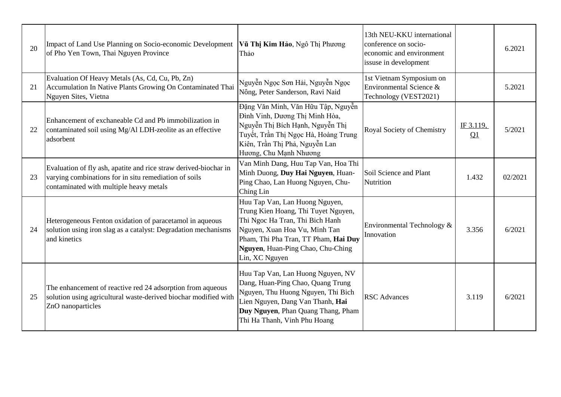| 20 | Impact of Land Use Planning on Socio-economic Development<br>of Pho Yen Town, Thai Nguyen Province                                                                   | Vũ Thị Kim Hảo, Ngô Thị Phương<br>Thảo                                                                                                                                                                                                   | 13th NEU-KKU international<br>conference on socio-<br>economic and environment<br>issuse in development |                 | 6.2021  |
|----|----------------------------------------------------------------------------------------------------------------------------------------------------------------------|------------------------------------------------------------------------------------------------------------------------------------------------------------------------------------------------------------------------------------------|---------------------------------------------------------------------------------------------------------|-----------------|---------|
| 21 | Evaluation Of Heavy Metals (As, Cd, Cu, Pb, Zn)<br>Accumulation In Native Plants Growing On Contaminated Thai<br>Nguyen Sites, Vietna                                | Nguyễn Ngọc Sơn Hải, Nguyễn Ngọc<br>Nông, Peter Sanderson, Ravi Naid                                                                                                                                                                     | 1st Vietnam Symposium on<br>Environmental Science &<br>Technology (VEST2021)                            |                 | 5.2021  |
| 22 | Enhancement of exchaneable Cd and Pb immobilization in<br>contaminated soil using Mg/Al LDH-zeolite as an effective<br>adsorbent                                     | Đặng Văn Minh, Văn Hữu Tập, Nguyễn<br>Đình Vinh, Dương Thị Minh Hòa,<br>Nguyễn Thị Bích Hạnh, Nguyễn Thị<br>Tuyết, Trần Thị Ngọc Hà, Hoàng Trung<br>Kiên, Trần Thị Phả, Nguyễn Lan<br>Hương, Chu Mạnh Nhương                             | Royal Society of Chemistry                                                                              | IF 3.119,<br>Q1 | 5/2021  |
| 23 | Evaluation of fly ash, apatite and rice straw derived-biochar in<br>varying combinations for in situ remediation of soils<br>contaminated with multiple heavy metals | Van Minh Dang, Huu Tap Van, Hoa Thi<br>Minh Duong, Duy Hai Nguyen, Huan-<br>Ping Chao, Lan Huong Nguyen, Chu-<br>Ching Lin                                                                                                               | Soil Science and Plant<br>Nutrition                                                                     | 1.432           | 02/2021 |
| 24 | Heterogeneous Fenton oxidation of paracetamol in aqueous<br>solution using iron slag as a catalyst: Degradation mechanisms<br>and kinetics                           | Huu Tap Van, Lan Huong Nguyen,<br>Trung Kien Hoang, Thi Tuyet Nguyen,<br>Thi Ngoc Ha Tran, Thi Bich Hanh<br>Nguyen, Xuan Hoa Vu, Minh Tan<br>Pham, Thi Pha Tran, TT Pham, Hai Duy<br>Nguyen, Huan-Ping Chao, Chu-Ching<br>Lin, XC Nguyen | Environmental Technology &<br>Innovation                                                                | 3.356           | 6/2021  |
| 25 | The enhancement of reactive red 24 adsorption from aqueous<br>solution using agricultural waste-derived biochar modified with<br>ZnO nanoparticles                   | Huu Tap Van, Lan Huong Nguyen, NV<br>Dang, Huan-Ping Chao, Quang Trung<br>Nguyen, Thu Huong Nguyen, Thi Bich<br>Lien Nguyen, Dang Van Thanh, Hai<br>Duy Nguyen, Phan Quang Thang, Pham<br>Thi Ha Thanh, Vinh Phu Hoang                   | <b>RSC</b> Advances                                                                                     | 3.119           | 6/2021  |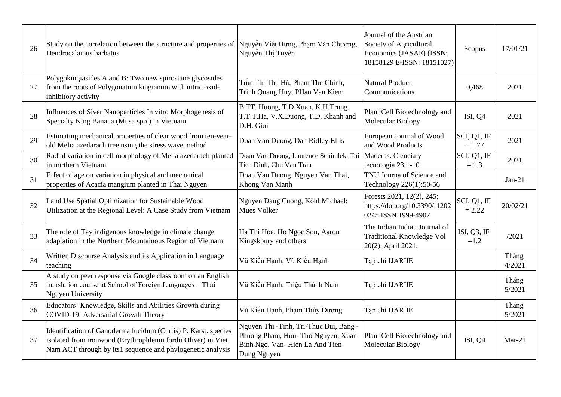| 26 | Study on the correlation between the structure and properties of<br>Dendrocalamus barbatus                                                                                                   | Nguyễn Việt Hưng, Phạm Văn Chương,<br>Nguyễn Thị Tuyên                                                                          | Journal of the Austrian<br>Society of Agricultural<br>Economics (JASAE) (ISSN:<br>18158129 E-ISSN: 18151027) | Scopus                   | 17/01/21        |
|----|----------------------------------------------------------------------------------------------------------------------------------------------------------------------------------------------|---------------------------------------------------------------------------------------------------------------------------------|--------------------------------------------------------------------------------------------------------------|--------------------------|-----------------|
| 27 | Polygokingiasides A and B: Two new spirostane glycosides<br>from the roots of Polygonatum kingianum with nitric oxide<br>inhibitory activity                                                 | Trần Thị Thu Hà, Pham The Chinh,<br>Trinh Quang Huy, PHan Van Kiem                                                              | <b>Natural Product</b><br>Communications                                                                     | 0,468                    | 2021            |
| 28 | Influences of Siver Nanoparticles In vitro Morphogenesis of<br>Specialty King Banana (Musa spp.) in Vietnam                                                                                  | B.TT. Huong, T.D.Xuan, K.H.Trung,<br>T.T.T.Ha, V.X.Duong, T.D. Khanh and<br>D.H. Gioi                                           | Plant Cell Biotechnology and<br>Molecular Biology                                                            | ISI, Q4                  | 2021            |
| 29 | Estimating mechanical properties of clear wood from ten-year-<br>old Melia azedarach tree using the stress wave method                                                                       | Doan Van Duong, Dan Ridley-Ellis                                                                                                | European Journal of Wood<br>and Wood Products                                                                | SCI, Q1, IF<br>$= 1.77$  | 2021            |
| 30 | Radial variation in cell morphology of Melia azedarach planted<br>in northern Vietnam                                                                                                        | Doan Van Duong, Laurence Schimlek, Tai<br>Tien Dinh, Chu Van Tran                                                               | Maderas. Ciencia y<br>tecnologia 23:1-10                                                                     | SCI, Q1, IF<br>$= 1.3$   | 2021            |
| 31 | Effect of age on variation in physical and mechanical<br>properties of Acacia mangium planted in Thai Nguyen                                                                                 | Doan Van Duong, Nguyen Van Thai,<br>Khong Van Manh                                                                              | TNU Journa of Science and<br>Technology 226(1):50-56                                                         |                          | $Jan-21$        |
| 32 | Land Use Spatial Optimization for Sustainable Wood<br>Utilization at the Regional Level: A Case Study from Vietnam                                                                           | Nguyen Dang Cuong, Köhl Michael;<br><b>Mues Volker</b>                                                                          | Forests 2021, 12(2), 245;<br>https://doi.org/10.3390/f1202<br>0245 ISSN 1999-4907                            | SCI, Q1, IF<br>$= 2.22$  | 20/02/21        |
| 33 | The role of Tay indigenous knowledge in climate change<br>adaptation in the Northern Mountainous Region of Vietnam                                                                           | Ha Thi Hoa, Ho Ngoc Son, Aaron<br>Kingskbury and others                                                                         | The Indian Indian Journal of<br><b>Traditional Knowledge Vol</b><br>20(2), April 2021,                       | ISI, $Q3$ , IF<br>$=1.2$ | /2021           |
| 34 | Written Discourse Analysis and its Application in Language<br>teaching                                                                                                                       | Vũ Kiều Hạnh, Vũ Kiều Hạnh                                                                                                      | Tạp chí IJARIIE                                                                                              |                          | Tháng<br>4/2021 |
| 35 | A study on peer response via Google classroom on an English<br>translation course at School of Foreign Languages - Thai<br><b>Nguyen University</b>                                          | Vũ Kiều Hạnh, Triệu Thành Nam                                                                                                   | Tạp chí IJARIIE                                                                                              |                          | Tháng<br>5/2021 |
| 36 | Educators' Knowledge, Skills and Abilities Growth during<br>COVID-19: Adversarial Growth Theory                                                                                              | Vũ Kiều Hạnh, Phạm Thùy Dương                                                                                                   | Tạp chí IJARIIE                                                                                              |                          | Tháng<br>5/2021 |
| 37 | Identification of Ganoderma lucidum (Curtis) P. Karst. species<br>isolated from ironwood (Erythrophleum fordii Oliver) in Viet<br>Nam ACT through by its1 sequence and phylogenetic analysis | Nguyen Thi -Tinh, Tri-Thuc Bui, Bang -<br>Phuong Pham, Huu- Tho Nguyen, Xuan-<br>Binh Ngo, Van-Hien La And Tien-<br>Dung Nguyen | Plant Cell Biotechnology and<br>Molecular Biology                                                            | ISI, Q4                  | $Mar-21$        |